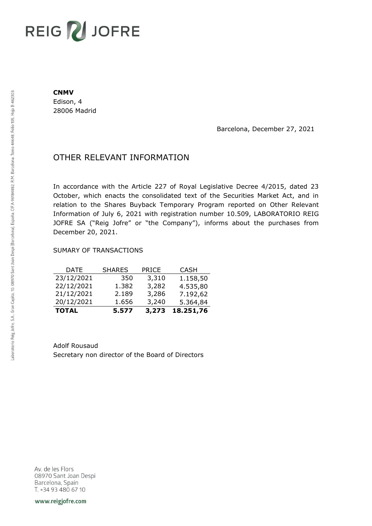# REIG V JOFRE

#### **CNMV**

Edison, 4 28006 Madrid

Barcelona, December 27, 2021

## OTHER RELEVANT INFORMATION

In accordance with the Article 227 of Royal Legislative Decree 4/2015, dated 23 October, which enacts the consolidated text of the Securities Market Act, and in relation to the Shares Buyback Temporary Program reported on Other Relevant Information of July 6, 2021 with registration number 10.509, LABORATORIO REIG JOFRE SA ("Reig Jofre" or "the Company"), informs about the purchases from December 20, 2021.

### SUMARY OF TRANSACTIONS

| <b>TOTAL</b> | 5.577         | 3,273        | 18.251,76   |
|--------------|---------------|--------------|-------------|
| 20/12/2021   | 1.656         | 3,240        | 5.364,84    |
| 21/12/2021   | 2.189         | 3,286        | 7.192,62    |
| 22/12/2021   | 1.382         | 3,282        | 4.535,80    |
| 23/12/2021   | 350           | 3,310        | 1.158,50    |
| DATE         | <b>SHARES</b> | <b>PRICE</b> | <b>CASH</b> |

Adolf Rousaud Secretary non director of the Board of Directors

Av. de les Flors 08970 Sant Joan Despi Barcelona, Spain T. +34 93 480 67 10

www.reigjofre.com